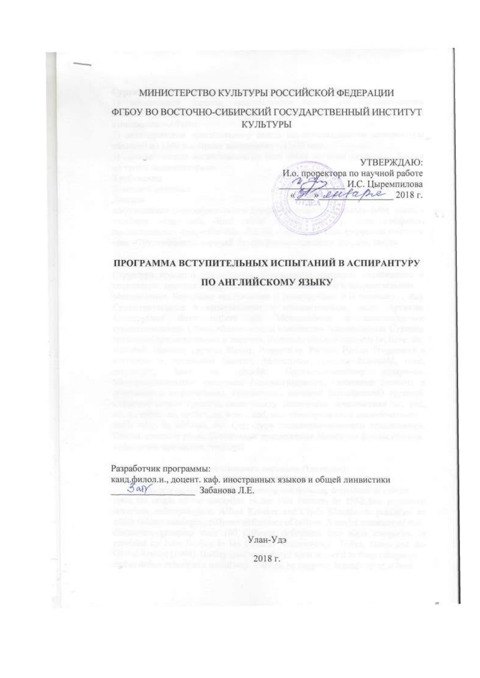## МИНИСТЕРСТВО КУЛЬТУРЫ РОССИЙСКОЙ ФЕДЕРАЦИИ

ФГБОУ ВО ВОСТОЧНО-СИБИРСКИЙ ГОСУДАРСТВЕННЫЙ ИНСТИТУТ КУЛЬТУРЫ

УТВЕРЖДАЮ:

2018 г.

И.С. Цыремпилова

И.о. проректора по научной работе

eu

fame

# ПРОГРАММА ВСТУПИТЕЛЬНЫХ ИСПЫТАНИЙ В АСПИРАНТУРУ **ПО АНГЛИЙСКОМУ ЯЗЫКУ**

Разработчик программы:

канд.филол.н., доцент. каф. иностранных языков и общей линвистики Sar Забанова Л.Е.

> Улан-Удэ 2018 г.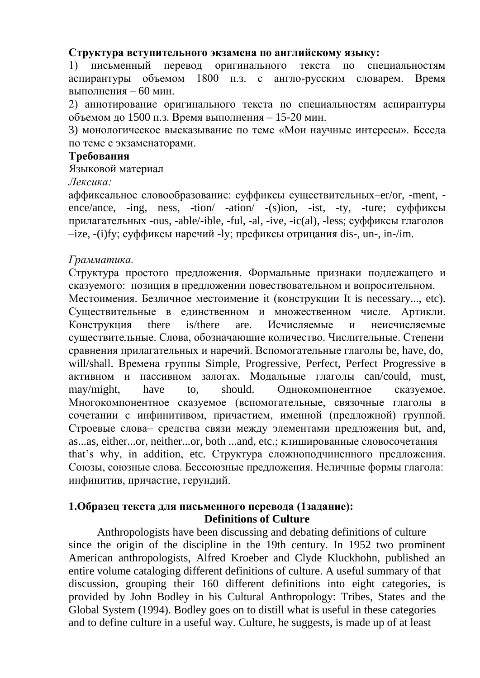#### **Структура вступительного экзамена по английскому языку:**

1) письменный перевод оригинального текста по специальностям аспирантуры объемом 1800 п.з. с англо-русским словарем. Время выполнения – 60 мин.

2) аннотирование оригинального текста по специальностям аспирантуры объемом до 1500 п.з. Время выполнения – 15-20 мин.

3) монологическое высказывание по теме «Мои научные интересы». Беседа по теме с экзаменаторами.

#### **Требования**

Языковой материал

*Лексика:*

аффиксальное словообразование: суффиксы существительных–er/or, -ment, ence/ance, -ing, ness, -tion/ -ation/ -(s)ion, -ist, -ty, -ture; суффиксы прилагательных -ous, -able/-ible, -ful, -al, -ive, -ic(al), -less; суффиксы глаголов –ize, -(i)fy; суффиксы наречий -ly; префиксы отрицания dis-, un-, in-/im.

#### *Грамматика.*

Структура простого предложения. Формальные признаки подлежащего и сказуемого: позиция в предложении повествовательном и вопросительном.

Местоимения. Безличное местоимение it (конструкции It is necessary..., etc). Существительные в единственном и множественном числе. Артикли. Конструкция there is/there are. Исчисляемые и неисчисляемые существительные. Слова, обозначающие количество. Числительные. Степени сравнения прилагательных и наречий. Вспомогательные глаголы be, have, do, will/shall. Времена группы Simple, Progressive, Perfect, Perfect Progressive в активном и пассивном залогах. Модальные глаголы can/could, must, may/might, have to, should. Однокомпонентное сказуемое. Многокомпонентное сказуемое (вспомогательные, связочные глаголы в сочетании с инфинитивом, причастием, именной (предложной) группой. Строевые слова– средства связи между элементами предложения but, and, as...as, either...or, neither...or, both ...and, etc.; клишированные словосочетания that's why, in addition, etc. Структура сложноподчиненного предложения. Союзы, союзные слова. Бессоюзные предложения. Неличные формы глагола: инфинитив, причастие, герундий.

#### **1.Образец текста для письменного перевода (1задание): Definitions of Culture**

Anthropologists have been discussing and debating definitions of culture since the origin of the discipline in the 19th century. In 1952 two prominent American anthropologists, Alfred Kroeber and Clyde Kluckhohn, published an entire volume cataloging different definitions of culture. A useful summary of that discussion, grouping their 160 different definitions into eight categories, is provided by John Bodley in his Cultural Anthropology: Tribes, States and the Global System (1994). Bodley goes on to distill what is useful in these categories and to define culture in a useful way. Culture, he suggests, is made up of at least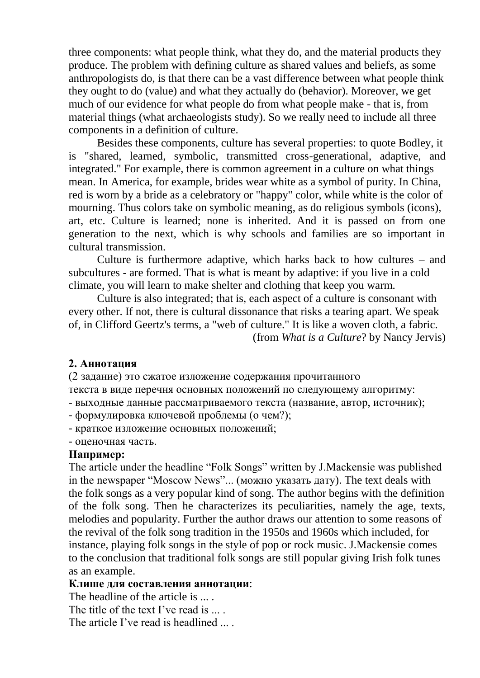three components: what people think, what they do, and the material products they produce. The problem with defining culture as shared values and beliefs, as some anthropologists do, is that there can be a vast difference between what people think they ought to do (value) and what they actually do (behavior). Moreover, we get much of our evidence for what people do from what people make - that is, from material things (what archaeologists study). So we really need to include all three components in a definition of culture.

Besides these components, culture has several properties: to quote Bodley, it is "shared, learned, symbolic, transmitted cross-generational, adaptive, and integrated." For example, there is common agreement in a culture on what things mean. In America, for example, brides wear white as a symbol of purity. In China, red is worn by a bride as a celebratory or "happy" color, while white is the color of mourning. Thus colors take on symbolic meaning, as do religious symbols (icons), art, etc. Culture is learned; none is inherited. And it is passed on from one generation to the next, which is why schools and families are so important in cultural transmission.

Culture is furthermore adaptive, which harks back to how cultures – and subcultures - are formed. That is what is meant by adaptive: if you live in a cold climate, you will learn to make shelter and clothing that keep you warm.

Culture is also integrated; that is, each aspect of a culture is consonant with every other. If not, there is cultural dissonance that risks a tearing apart. We speak of, in Clifford Geertz's terms, a "web of culture." It is like a woven cloth, a fabric. (from *What is a Culture*? by Nancy Jervis)

#### **2. Аннотация**

(2 задание) это сжатое изложение содержания прочитанного

текста в виде перечня основных положений по следующему алгоритму:

- выходные данные рассматриваемого текста (название, автор, источник);

- формулировка ключевой проблемы (о чем?);

- краткое изложение основных положений;

- оценочная часть.

#### **Например:**

The article under the headline "Folk Songs" written by J.Mackensie was published in the newspaper "Moscow News"... (можно указать дату). The text deals with the folk songs as a very popular kind of song. The author begins with the definition of the folk song. Then he characterizes its peculiarities, namely the age, texts, melodies and popularity. Further the author draws our attention to some reasons of the revival of the folk song tradition in the 1950s and 1960s which included, for instance, playing folk songs in the style of pop or rock music. J.Mackensie comes to the conclusion that traditional folk songs are still popular giving Irish folk tunes as an example.

#### **Клише для составления аннотации**:

The headline of the article is ... The title of the text I've read is .... The article I've read is headlined ....